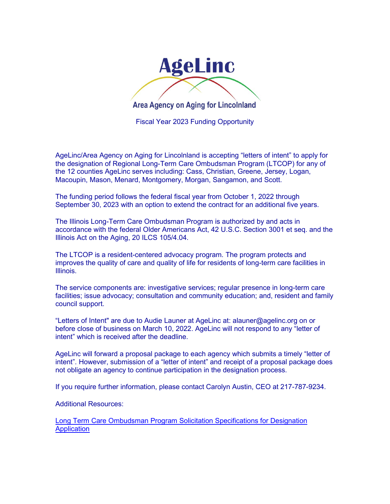

Fiscal Year 2023 Funding Opportunity

AgeLinc/Area Agency on Aging for Lincolnland is accepting "letters of intent" to apply for the designation of Regional Long-Term Care Ombudsman Program (LTCOP) for any of the 12 counties AgeLinc serves including: Cass, Christian, Greene, Jersey, Logan, Macoupin, Mason, Menard, Montgomery, Morgan, Sangamon, and Scott.

The funding period follows the federal fiscal year from October 1, 2022 through September 30, 2023 with an option to extend the contract for an additional five years.

The Illinois Long-Term Care Ombudsman Program is authorized by and acts in accordance with the federal Older Americans Act, 42 U.S.C. Section 3001 et seq. and the Illinois Act on the Aging, 20 ILCS 105/4.04.

The LTCOP is a resident-centered advocacy program. The program protects and improves the quality of care and quality of life for residents of long-term care facilities in Illinois.

The service components are: investigative services; regular presence in long-term care facilities; issue advocacy; consultation and community education; and, resident and family council support.

"Letters of Intent" are due to Audie Launer at AgeLinc at: alauner@agelinc.org on or before close of business on March 10, 2022. AgeLinc will not respond to any "letter of intent" which is received after the deadline.

AgeLinc will forward a proposal package to each agency which submits a timely "letter of intent". However, submission of a "letter of intent" and receipt of a proposal package does not obligate an agency to continue participation in the designation process.

If you require further information, please contact Carolyn Austin, CEO at 217-787-9234.

Additional Resources:

[Long Term Care Ombudsman Program Solicitation Specifications for Designation](https://agelinc.org/partners/)  **[Application](https://agelinc.org/partners/)**